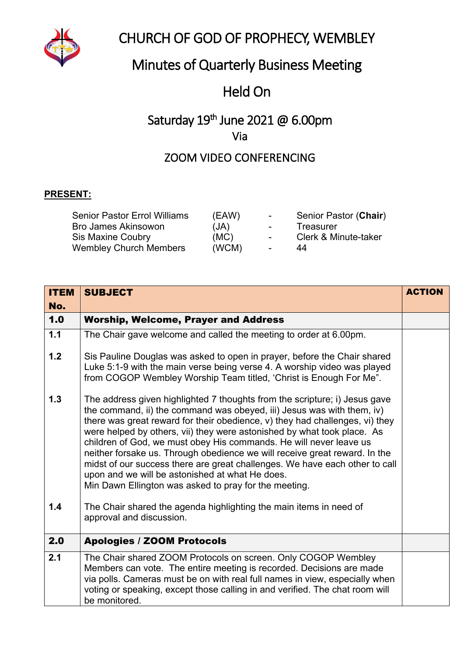

# CHURCH OF GOD OF PROPHECY, WEMBLEY

# Minutes of Quarterly Business Meeting

## Held On

## Saturday 19<sup>th</sup> June 2021 @ 6.00pm Via

### ZOOM VIDEO CONFERENCING

#### **PRESENT:**

| <b>Senior Pastor Errol Williams</b> | (EAW) | $\sim$ 10 $\sim$  | Senior Pastor (Chair) |
|-------------------------------------|-------|-------------------|-----------------------|
| <b>Bro James Akinsowon</b>          | (JA)  | $\sim$ 100 $\mu$  | Treasurer             |
| <b>Sis Maxine Coubry</b>            | (MC)  | $\sim$ 100 $\sim$ | Clerk & Minute-taker  |
| <b>Wembley Church Members</b>       | (WCM) | $\sim$            | 44                    |

| <b>ITEM</b><br>No. | <b>SUBJECT</b>                                                                                                                                                                                                                                                                                                                                                                                                                                                                                                                                                                                                                                                 | <b>ACTION</b> |
|--------------------|----------------------------------------------------------------------------------------------------------------------------------------------------------------------------------------------------------------------------------------------------------------------------------------------------------------------------------------------------------------------------------------------------------------------------------------------------------------------------------------------------------------------------------------------------------------------------------------------------------------------------------------------------------------|---------------|
| 1.0                | <b>Worship, Welcome, Prayer and Address</b>                                                                                                                                                                                                                                                                                                                                                                                                                                                                                                                                                                                                                    |               |
| 1.1                | The Chair gave welcome and called the meeting to order at 6.00pm.                                                                                                                                                                                                                                                                                                                                                                                                                                                                                                                                                                                              |               |
| 1.2                | Sis Pauline Douglas was asked to open in prayer, before the Chair shared<br>Luke 5:1-9 with the main verse being verse 4. A worship video was played<br>from COGOP Wembley Worship Team titled, 'Christ is Enough For Me".                                                                                                                                                                                                                                                                                                                                                                                                                                     |               |
| $1.3$              | The address given highlighted 7 thoughts from the scripture; i) Jesus gave<br>the command, ii) the command was obeyed, iii) Jesus was with them, iv)<br>there was great reward for their obedience, v) they had challenges, vi) they<br>were helped by others, vii) they were astonished by what took place. As<br>children of God, we must obey His commands. He will never leave us<br>neither forsake us. Through obedience we will receive great reward. In the<br>midst of our success there are great challenges. We have each other to call<br>upon and we will be astonished at what He does.<br>Min Dawn Ellington was asked to pray for the meeting. |               |
| 1.4                | The Chair shared the agenda highlighting the main items in need of<br>approval and discussion.                                                                                                                                                                                                                                                                                                                                                                                                                                                                                                                                                                 |               |
| 2.0                | <b>Apologies / ZOOM Protocols</b>                                                                                                                                                                                                                                                                                                                                                                                                                                                                                                                                                                                                                              |               |
| $\overline{2.1}$   | The Chair shared ZOOM Protocols on screen. Only COGOP Wembley<br>Members can vote. The entire meeting is recorded. Decisions are made<br>via polls. Cameras must be on with real full names in view, especially when<br>voting or speaking, except those calling in and verified. The chat room will<br>be monitored.                                                                                                                                                                                                                                                                                                                                          |               |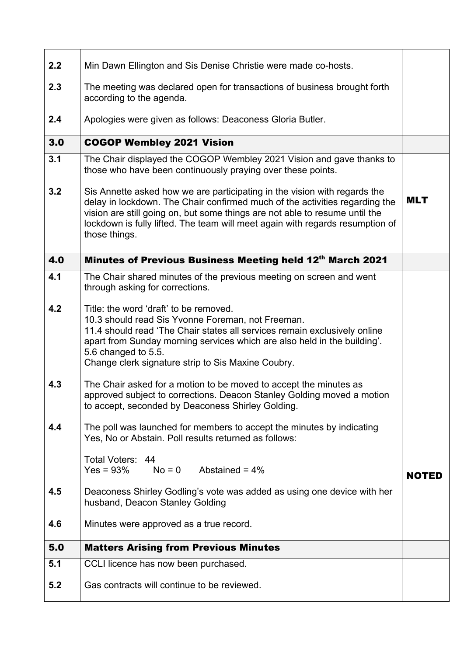| 2.2 | Min Dawn Ellington and Sis Denise Christie were made co-hosts.                                                                                                                                                                                                                                                                            |            |
|-----|-------------------------------------------------------------------------------------------------------------------------------------------------------------------------------------------------------------------------------------------------------------------------------------------------------------------------------------------|------------|
| 2.3 | The meeting was declared open for transactions of business brought forth<br>according to the agenda.                                                                                                                                                                                                                                      |            |
| 2.4 | Apologies were given as follows: Deaconess Gloria Butler.                                                                                                                                                                                                                                                                                 |            |
| 3.0 | <b>COGOP Wembley 2021 Vision</b>                                                                                                                                                                                                                                                                                                          |            |
| 3.1 | The Chair displayed the COGOP Wembley 2021 Vision and gave thanks to<br>those who have been continuously praying over these points.                                                                                                                                                                                                       |            |
| 3.2 | Sis Annette asked how we are participating in the vision with regards the<br>delay in lockdown. The Chair confirmed much of the activities regarding the<br>vision are still going on, but some things are not able to resume until the<br>lockdown is fully lifted. The team will meet again with regards resumption of<br>those things. | <b>MLT</b> |
| 4.0 | Minutes of Previous Business Meeting held 12th March 2021                                                                                                                                                                                                                                                                                 |            |
| 4.1 | The Chair shared minutes of the previous meeting on screen and went<br>through asking for corrections.                                                                                                                                                                                                                                    |            |
| 4.2 | Title: the word 'draft' to be removed.<br>10.3 should read Sis Yvonne Foreman, not Freeman.<br>11.4 should read 'The Chair states all services remain exclusively online<br>apart from Sunday morning services which are also held in the building'.<br>5.6 changed to 5.5.<br>Change clerk signature strip to Sis Maxine Coubry.         |            |
| 4.3 | The Chair asked for a motion to be moved to accept the minutes as<br>approved subject to corrections. Deacon Stanley Golding moved a motion<br>to accept, seconded by Deaconess Shirley Golding.                                                                                                                                          |            |
| 4.4 | The poll was launched for members to accept the minutes by indicating<br>Yes, No or Abstain. Poll results returned as follows:                                                                                                                                                                                                            |            |
|     | Total Voters: 44<br>Yes = $93\%$ No = 0 Abstained = $4\%$                                                                                                                                                                                                                                                                                 | NOTED      |
| 4.5 | Deaconess Shirley Godling's vote was added as using one device with her<br>husband, Deacon Stanley Golding                                                                                                                                                                                                                                |            |
| 4.6 | Minutes were approved as a true record.                                                                                                                                                                                                                                                                                                   |            |
| 5.0 | <b>Matters Arising from Previous Minutes</b>                                                                                                                                                                                                                                                                                              |            |
| 5.1 | CCLI licence has now been purchased.                                                                                                                                                                                                                                                                                                      |            |
| 5.2 | Gas contracts will continue to be reviewed.                                                                                                                                                                                                                                                                                               |            |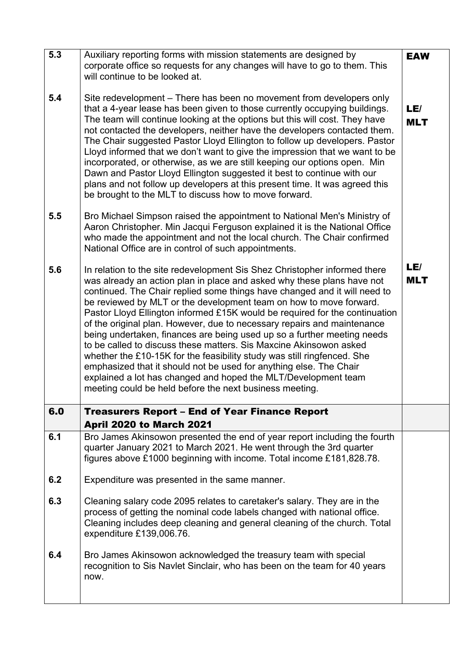| 5.3 | Auxiliary reporting forms with mission statements are designed by<br>corporate office so requests for any changes will have to go to them. This<br>will continue to be looked at.                                                                                                                                                                                                                                                                                                                                                                                                                                                                                                                                                                                                                                                                                                               | <b>EAW</b>        |
|-----|-------------------------------------------------------------------------------------------------------------------------------------------------------------------------------------------------------------------------------------------------------------------------------------------------------------------------------------------------------------------------------------------------------------------------------------------------------------------------------------------------------------------------------------------------------------------------------------------------------------------------------------------------------------------------------------------------------------------------------------------------------------------------------------------------------------------------------------------------------------------------------------------------|-------------------|
| 5.4 | Site redevelopment – There has been no movement from developers only<br>that a 4-year lease has been given to those currently occupying buildings.<br>The team will continue looking at the options but this will cost. They have<br>not contacted the developers, neither have the developers contacted them.<br>The Chair suggested Pastor Lloyd Ellington to follow up developers. Pastor<br>Lloyd informed that we don't want to give the impression that we want to be<br>incorporated, or otherwise, as we are still keeping our options open. Min<br>Dawn and Pastor Lloyd Ellington suggested it best to continue with our<br>plans and not follow up developers at this present time. It was agreed this<br>be brought to the MLT to discuss how to move forward.                                                                                                                      | LE/<br><b>MLT</b> |
| 5.5 | Bro Michael Simpson raised the appointment to National Men's Ministry of<br>Aaron Christopher. Min Jacqui Ferguson explained it is the National Office<br>who made the appointment and not the local church. The Chair confirmed<br>National Office are in control of such appointments.                                                                                                                                                                                                                                                                                                                                                                                                                                                                                                                                                                                                        |                   |
| 5.6 | In relation to the site redevelopment Sis Shez Christopher informed there<br>was already an action plan in place and asked why these plans have not<br>continued. The Chair replied some things have changed and it will need to<br>be reviewed by MLT or the development team on how to move forward.<br>Pastor Lloyd Ellington informed £15K would be required for the continuation<br>of the original plan. However, due to necessary repairs and maintenance<br>being undertaken, finances are being used up so a further meeting needs<br>to be called to discuss these matters. Sis Maxcine Akinsowon asked<br>whether the £10-15K for the feasibility study was still ringfenced. She<br>emphasized that it should not be used for anything else. The Chair<br>explained a lot has changed and hoped the MLT/Development team<br>meeting could be held before the next business meeting. | LE/<br><b>MLT</b> |
| 6.0 | <b>Treasurers Report - End of Year Finance Report</b><br><b>April 2020 to March 2021</b>                                                                                                                                                                                                                                                                                                                                                                                                                                                                                                                                                                                                                                                                                                                                                                                                        |                   |
| 6.1 | Bro James Akinsowon presented the end of year report including the fourth<br>quarter January 2021 to March 2021. He went through the 3rd quarter<br>figures above £1000 beginning with income. Total income £181,828.78.                                                                                                                                                                                                                                                                                                                                                                                                                                                                                                                                                                                                                                                                        |                   |
| 6.2 | Expenditure was presented in the same manner.                                                                                                                                                                                                                                                                                                                                                                                                                                                                                                                                                                                                                                                                                                                                                                                                                                                   |                   |
| 6.3 | Cleaning salary code 2095 relates to caretaker's salary. They are in the<br>process of getting the nominal code labels changed with national office.<br>Cleaning includes deep cleaning and general cleaning of the church. Total<br>expenditure £139,006.76.                                                                                                                                                                                                                                                                                                                                                                                                                                                                                                                                                                                                                                   |                   |
| 6.4 | Bro James Akinsowon acknowledged the treasury team with special<br>recognition to Sis Navlet Sinclair, who has been on the team for 40 years<br>now.                                                                                                                                                                                                                                                                                                                                                                                                                                                                                                                                                                                                                                                                                                                                            |                   |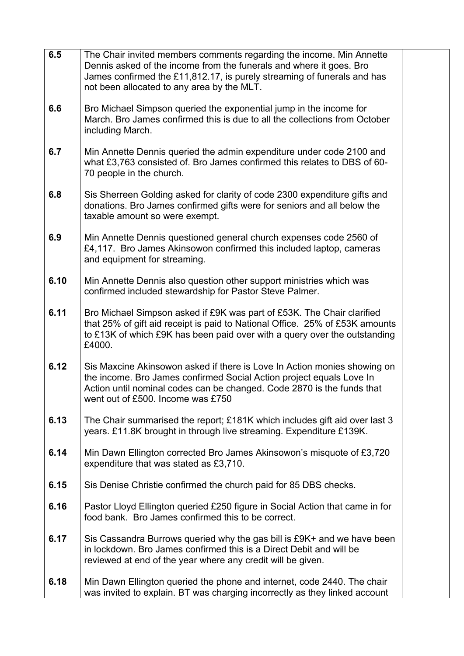| 6.5  | The Chair invited members comments regarding the income. Min Annette                                                                                                                                                                                            |
|------|-----------------------------------------------------------------------------------------------------------------------------------------------------------------------------------------------------------------------------------------------------------------|
|      | Dennis asked of the income from the funerals and where it goes. Bro<br>James confirmed the £11,812.17, is purely streaming of funerals and has                                                                                                                  |
|      | not been allocated to any area by the MLT.                                                                                                                                                                                                                      |
| 6.6  | Bro Michael Simpson queried the exponential jump in the income for<br>March. Bro James confirmed this is due to all the collections from October<br>including March.                                                                                            |
| 6.7  | Min Annette Dennis queried the admin expenditure under code 2100 and<br>what £3,763 consisted of. Bro James confirmed this relates to DBS of 60-<br>70 people in the church.                                                                                    |
| 6.8  | Sis Sherreen Golding asked for clarity of code 2300 expenditure gifts and<br>donations. Bro James confirmed gifts were for seniors and all below the<br>taxable amount so were exempt.                                                                          |
| 6.9  | Min Annette Dennis questioned general church expenses code 2560 of<br>£4,117. Bro James Akinsowon confirmed this included laptop, cameras<br>and equipment for streaming.                                                                                       |
| 6.10 | Min Annette Dennis also question other support ministries which was<br>confirmed included stewardship for Pastor Steve Palmer.                                                                                                                                  |
| 6.11 | Bro Michael Simpson asked if £9K was part of £53K. The Chair clarified<br>that 25% of gift aid receipt is paid to National Office. 25% of £53K amounts<br>to £13K of which £9K has been paid over with a query over the outstanding<br>£4000.                   |
| 6.12 | Sis Maxcine Akinsowon asked if there is Love In Action monies showing on<br>the income. Bro James confirmed Social Action project equals Love In<br>Action until nominal codes can be changed. Code 2870 is the funds that<br>went out of £500. Income was £750 |
| 6.13 | The Chair summarised the report; £181K which includes gift aid over last 3<br>years. £11.8K brought in through live streaming. Expenditure £139K.                                                                                                               |
| 6.14 | Min Dawn Ellington corrected Bro James Akinsowon's misquote of £3,720<br>expenditure that was stated as £3,710.                                                                                                                                                 |
| 6.15 | Sis Denise Christie confirmed the church paid for 85 DBS checks.                                                                                                                                                                                                |
| 6.16 | Pastor Lloyd Ellington queried £250 figure in Social Action that came in for<br>food bank. Bro James confirmed this to be correct.                                                                                                                              |
| 6.17 | Sis Cassandra Burrows queried why the gas bill is £9K+ and we have been<br>in lockdown. Bro James confirmed this is a Direct Debit and will be<br>reviewed at end of the year where any credit will be given.                                                   |
| 6.18 | Min Dawn Ellington queried the phone and internet, code 2440. The chair<br>was invited to explain. BT was charging incorrectly as they linked account                                                                                                           |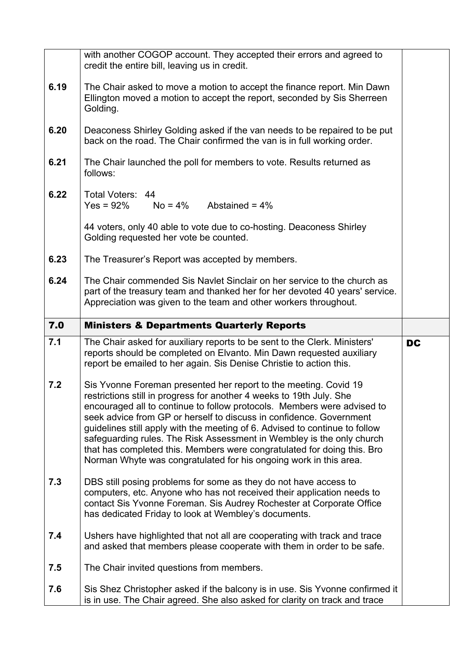|      | with another COGOP account. They accepted their errors and agreed to<br>credit the entire bill, leaving us in credit.                                                                                                                                                                                                                                                                                                                                                                                                                                                                              |           |
|------|----------------------------------------------------------------------------------------------------------------------------------------------------------------------------------------------------------------------------------------------------------------------------------------------------------------------------------------------------------------------------------------------------------------------------------------------------------------------------------------------------------------------------------------------------------------------------------------------------|-----------|
| 6.19 | The Chair asked to move a motion to accept the finance report. Min Dawn<br>Ellington moved a motion to accept the report, seconded by Sis Sherreen<br>Golding.                                                                                                                                                                                                                                                                                                                                                                                                                                     |           |
| 6.20 | Deaconess Shirley Golding asked if the van needs to be repaired to be put<br>back on the road. The Chair confirmed the van is in full working order.                                                                                                                                                                                                                                                                                                                                                                                                                                               |           |
| 6.21 | The Chair launched the poll for members to vote. Results returned as<br>follows:                                                                                                                                                                                                                                                                                                                                                                                                                                                                                                                   |           |
| 6.22 | Total Voters: 44<br>$No = 4\%$ Abstained = $4\%$<br>$Yes = 92\%$                                                                                                                                                                                                                                                                                                                                                                                                                                                                                                                                   |           |
|      | 44 voters, only 40 able to vote due to co-hosting. Deaconess Shirley<br>Golding requested her vote be counted.                                                                                                                                                                                                                                                                                                                                                                                                                                                                                     |           |
| 6.23 | The Treasurer's Report was accepted by members.                                                                                                                                                                                                                                                                                                                                                                                                                                                                                                                                                    |           |
| 6.24 | The Chair commended Sis Navlet Sinclair on her service to the church as<br>part of the treasury team and thanked her for her devoted 40 years' service.<br>Appreciation was given to the team and other workers throughout.                                                                                                                                                                                                                                                                                                                                                                        |           |
| 7.0  | <b>Ministers &amp; Departments Quarterly Reports</b>                                                                                                                                                                                                                                                                                                                                                                                                                                                                                                                                               |           |
|      |                                                                                                                                                                                                                                                                                                                                                                                                                                                                                                                                                                                                    |           |
| 7.1  | The Chair asked for auxiliary reports to be sent to the Clerk. Ministers'<br>reports should be completed on Elvanto. Min Dawn requested auxiliary<br>report be emailed to her again. Sis Denise Christie to action this.                                                                                                                                                                                                                                                                                                                                                                           | <b>DC</b> |
| 7.2  | Sis Yvonne Foreman presented her report to the meeting. Covid 19<br>restrictions still in progress for another 4 weeks to 19th July. She<br>encouraged all to continue to follow protocols. Members were advised to<br>seek advice from GP or herself to discuss in confidence. Government<br>guidelines still apply with the meeting of 6. Advised to continue to follow<br>safeguarding rules. The Risk Assessment in Wembley is the only church<br>that has completed this. Members were congratulated for doing this. Bro<br>Norman Whyte was congratulated for his ongoing work in this area. |           |
| 7.3  | DBS still posing problems for some as they do not have access to<br>computers, etc. Anyone who has not received their application needs to<br>contact Sis Yvonne Foreman. Sis Audrey Rochester at Corporate Office<br>has dedicated Friday to look at Wembley's documents.                                                                                                                                                                                                                                                                                                                         |           |
| 7.4  | Ushers have highlighted that not all are cooperating with track and trace<br>and asked that members please cooperate with them in order to be safe.                                                                                                                                                                                                                                                                                                                                                                                                                                                |           |
| 7.5  | The Chair invited questions from members.                                                                                                                                                                                                                                                                                                                                                                                                                                                                                                                                                          |           |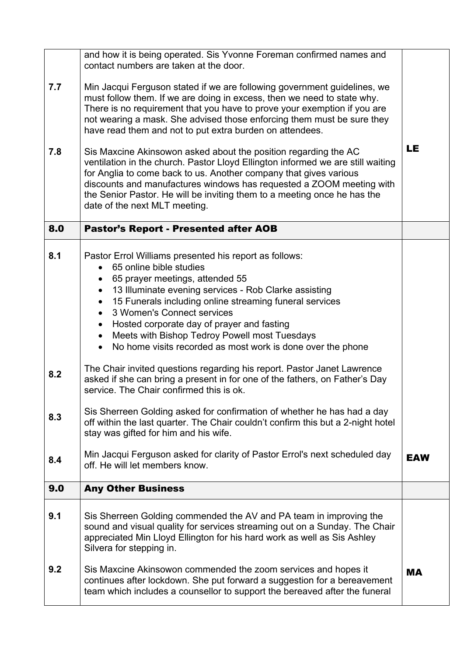| 7.7<br>7.8               | and how it is being operated. Sis Yvonne Foreman confirmed names and<br>contact numbers are taken at the door.<br>Min Jacqui Ferguson stated if we are following government guidelines, we<br>must follow them. If we are doing in excess, then we need to state why.<br>There is no requirement that you have to prove your exemption if you are<br>not wearing a mask. She advised those enforcing them must be sure they<br>have read them and not to put extra burden on attendees.<br>Sis Maxcine Akinsowon asked about the position regarding the AC<br>ventilation in the church. Pastor Lloyd Ellington informed we are still waiting<br>for Anglia to come back to us. Another company that gives various<br>discounts and manufactures windows has requested a ZOOM meeting with<br>the Senior Pastor. He will be inviting them to a meeting once he has the<br>date of the next MLT meeting.                                                                                                                             | LE         |
|--------------------------|-------------------------------------------------------------------------------------------------------------------------------------------------------------------------------------------------------------------------------------------------------------------------------------------------------------------------------------------------------------------------------------------------------------------------------------------------------------------------------------------------------------------------------------------------------------------------------------------------------------------------------------------------------------------------------------------------------------------------------------------------------------------------------------------------------------------------------------------------------------------------------------------------------------------------------------------------------------------------------------------------------------------------------------|------------|
| 8.0                      | <b>Pastor's Report - Presented after AOB</b>                                                                                                                                                                                                                                                                                                                                                                                                                                                                                                                                                                                                                                                                                                                                                                                                                                                                                                                                                                                        |            |
| 8.1<br>8.2<br>8.3<br>8.4 | Pastor Errol Williams presented his report as follows:<br>65 online bible studies<br>65 prayer meetings, attended 55<br>$\bullet$<br>13 Illuminate evening services - Rob Clarke assisting<br>$\bullet$<br>15 Funerals including online streaming funeral services<br>$\bullet$<br>3 Women's Connect services<br>Hosted corporate day of prayer and fasting<br>$\bullet$<br>Meets with Bishop Tedroy Powell most Tuesdays<br>$\bullet$<br>No home visits recorded as most work is done over the phone<br>The Chair invited questions regarding his report. Pastor Janet Lawrence<br>asked if she can bring a present in for one of the fathers, on Father's Day<br>service. The Chair confirmed this is ok.<br>Sis Sherreen Golding asked for confirmation of whether he has had a day<br>off within the last quarter. The Chair couldn't confirm this but a 2-night hotel<br>stay was gifted for him and his wife.<br>Min Jacqui Ferguson asked for clarity of Pastor Errol's next scheduled day<br>off. He will let members know. | <b>EAW</b> |
| 9.0                      | <b>Any Other Business</b>                                                                                                                                                                                                                                                                                                                                                                                                                                                                                                                                                                                                                                                                                                                                                                                                                                                                                                                                                                                                           |            |
| 9.1                      | Sis Sherreen Golding commended the AV and PA team in improving the<br>sound and visual quality for services streaming out on a Sunday. The Chair<br>appreciated Min Lloyd Ellington for his hard work as well as Sis Ashley<br>Silvera for stepping in.                                                                                                                                                                                                                                                                                                                                                                                                                                                                                                                                                                                                                                                                                                                                                                             |            |
| 9.2                      | Sis Maxcine Akinsowon commended the zoom services and hopes it<br>continues after lockdown. She put forward a suggestion for a bereavement<br>team which includes a counsellor to support the bereaved after the funeral                                                                                                                                                                                                                                                                                                                                                                                                                                                                                                                                                                                                                                                                                                                                                                                                            | <b>MA</b>  |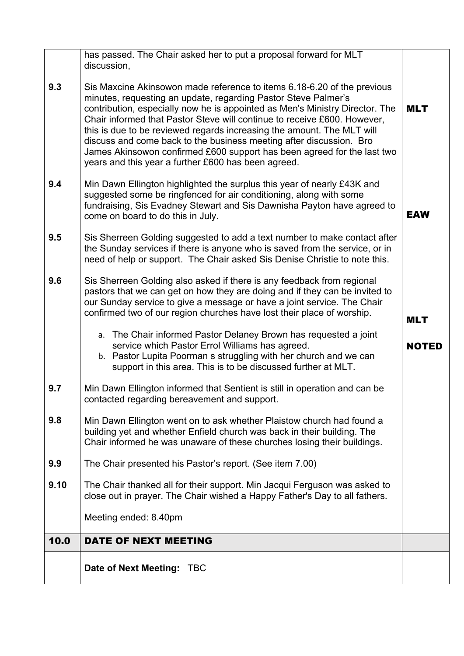|      | has passed. The Chair asked her to put a proposal forward for MLT<br>discussion,                                                                                                                                                                                                                                                                                                                                                                                                                                                                                                         |              |
|------|------------------------------------------------------------------------------------------------------------------------------------------------------------------------------------------------------------------------------------------------------------------------------------------------------------------------------------------------------------------------------------------------------------------------------------------------------------------------------------------------------------------------------------------------------------------------------------------|--------------|
| 9.3  | Sis Maxcine Akinsowon made reference to items 6.18-6.20 of the previous<br>minutes, requesting an update, regarding Pastor Steve Palmer's<br>contribution, especially now he is appointed as Men's Ministry Director. The<br>Chair informed that Pastor Steve will continue to receive £600. However,<br>this is due to be reviewed regards increasing the amount. The MLT will<br>discuss and come back to the business meeting after discussion. Bro<br>James Akinsowon confirmed £600 support has been agreed for the last two<br>years and this year a further £600 has been agreed. | <b>MLT</b>   |
| 9.4  | Min Dawn Ellington highlighted the surplus this year of nearly £43K and<br>suggested some be ringfenced for air conditioning, along with some<br>fundraising, Sis Evadney Stewart and Sis Dawnisha Payton have agreed to<br>come on board to do this in July.                                                                                                                                                                                                                                                                                                                            | <b>EAW</b>   |
| 9.5  | Sis Sherreen Golding suggested to add a text number to make contact after<br>the Sunday services if there is anyone who is saved from the service, or in<br>need of help or support. The Chair asked Sis Denise Christie to note this.                                                                                                                                                                                                                                                                                                                                                   |              |
| 9.6  | Sis Sherreen Golding also asked if there is any feedback from regional<br>pastors that we can get on how they are doing and if they can be invited to<br>our Sunday service to give a message or have a joint service. The Chair<br>confirmed two of our region churches have lost their place of worship.                                                                                                                                                                                                                                                                               | <b>MLT</b>   |
|      | a. The Chair informed Pastor Delaney Brown has requested a joint<br>service which Pastor Errol Williams has agreed.<br>b. Pastor Lupita Poorman s struggling with her church and we can<br>support in this area. This is to be discussed further at MLT.                                                                                                                                                                                                                                                                                                                                 | <b>NOTED</b> |
| 9.7  | Min Dawn Ellington informed that Sentient is still in operation and can be<br>contacted regarding bereavement and support.                                                                                                                                                                                                                                                                                                                                                                                                                                                               |              |
| 9.8  | Min Dawn Ellington went on to ask whether Plaistow church had found a<br>building yet and whether Enfield church was back in their building. The<br>Chair informed he was unaware of these churches losing their buildings.                                                                                                                                                                                                                                                                                                                                                              |              |
| 9.9  | The Chair presented his Pastor's report. (See item 7.00)                                                                                                                                                                                                                                                                                                                                                                                                                                                                                                                                 |              |
| 9.10 | The Chair thanked all for their support. Min Jacqui Ferguson was asked to<br>close out in prayer. The Chair wished a Happy Father's Day to all fathers.                                                                                                                                                                                                                                                                                                                                                                                                                                  |              |
|      | Meeting ended: 8.40pm                                                                                                                                                                                                                                                                                                                                                                                                                                                                                                                                                                    |              |
| 10.0 | DATE OF NEXT MEETING                                                                                                                                                                                                                                                                                                                                                                                                                                                                                                                                                                     |              |
|      | Date of Next Meeting:<br><b>TBC</b>                                                                                                                                                                                                                                                                                                                                                                                                                                                                                                                                                      |              |